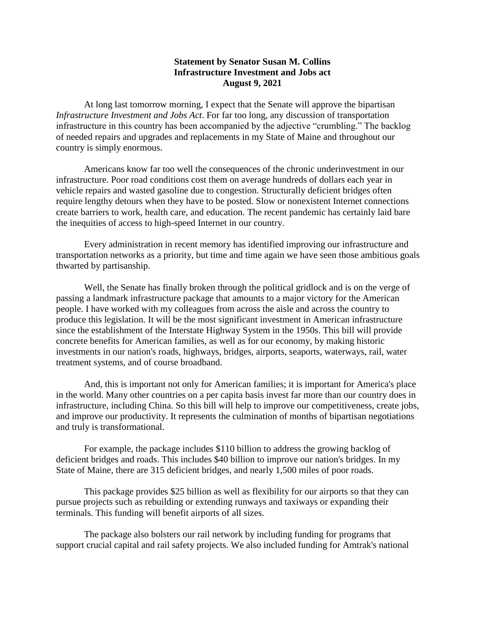## **Statement by Senator Susan M. Collins Infrastructure Investment and Jobs act August 9, 2021**

At long last tomorrow morning, I expect that the Senate will approve the bipartisan *Infrastructure Investment and Jobs Act*. For far too long, any discussion of transportation infrastructure in this country has been accompanied by the adjective "crumbling." The backlog of needed repairs and upgrades and replacements in my State of Maine and throughout our country is simply enormous.

Americans know far too well the consequences of the chronic underinvestment in our infrastructure. Poor road conditions cost them on average hundreds of dollars each year in vehicle repairs and wasted gasoline due to congestion. Structurally deficient bridges often require lengthy detours when they have to be posted. Slow or nonexistent Internet connections create barriers to work, health care, and education. The recent pandemic has certainly laid bare the inequities of access to high-speed Internet in our country.

Every administration in recent memory has identified improving our infrastructure and transportation networks as a priority, but time and time again we have seen those ambitious goals thwarted by partisanship.

Well, the Senate has finally broken through the political gridlock and is on the verge of passing a landmark infrastructure package that amounts to a major victory for the American people. I have worked with my colleagues from across the aisle and across the country to produce this legislation. It will be the most significant investment in American infrastructure since the establishment of the Interstate Highway System in the 1950s. This bill will provide concrete benefits for American families, as well as for our economy, by making historic investments in our nation's roads, highways, bridges, airports, seaports, waterways, rail, water treatment systems, and of course broadband.

And, this is important not only for American families; it is important for America's place in the world. Many other countries on a per capita basis invest far more than our country does in infrastructure, including China. So this bill will help to improve our competitiveness, create jobs, and improve our productivity. It represents the culmination of months of bipartisan negotiations and truly is transformational.

For example, the package includes \$110 billion to address the growing backlog of deficient bridges and roads. This includes \$40 billion to improve our nation's bridges. In my State of Maine, there are 315 deficient bridges, and nearly 1,500 miles of poor roads.

This package provides \$25 billion as well as flexibility for our airports so that they can pursue projects such as rebuilding or extending runways and taxiways or expanding their terminals. This funding will benefit airports of all sizes.

The package also bolsters our rail network by including funding for programs that support crucial capital and rail safety projects. We also included funding for Amtrak's national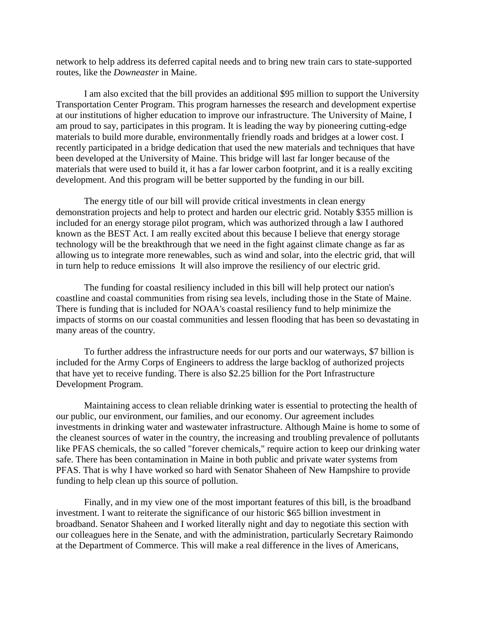network to help address its deferred capital needs and to bring new train cars to state-supported routes, like the *Downeaster* in Maine.

I am also excited that the bill provides an additional \$95 million to support the University Transportation Center Program. This program harnesses the research and development expertise at our institutions of higher education to improve our infrastructure. The University of Maine, I am proud to say, participates in this program. It is leading the way by pioneering cutting-edge materials to build more durable, environmentally friendly roads and bridges at a lower cost. I recently participated in a bridge dedication that used the new materials and techniques that have been developed at the University of Maine. This bridge will last far longer because of the materials that were used to build it, it has a far lower carbon footprint, and it is a really exciting development. And this program will be better supported by the funding in our bill.

The energy title of our bill will provide critical investments in clean energy demonstration projects and help to protect and harden our electric grid. Notably \$355 million is included for an energy storage pilot program, which was authorized through a law I authored known as the BEST Act. I am really excited about this because I believe that energy storage technology will be the breakthrough that we need in the fight against climate change as far as allowing us to integrate more renewables, such as wind and solar, into the electric grid, that will in turn help to reduce emissions It will also improve the resiliency of our electric grid.

The funding for coastal resiliency included in this bill will help protect our nation's coastline and coastal communities from rising sea levels, including those in the State of Maine. There is funding that is included for NOAA's coastal resiliency fund to help minimize the impacts of storms on our coastal communities and lessen flooding that has been so devastating in many areas of the country.

To further address the infrastructure needs for our ports and our waterways, \$7 billion is included for the Army Corps of Engineers to address the large backlog of authorized projects that have yet to receive funding. There is also \$2.25 billion for the Port Infrastructure Development Program.

Maintaining access to clean reliable drinking water is essential to protecting the health of our public, our environment, our families, and our economy. Our agreement includes investments in drinking water and wastewater infrastructure. Although Maine is home to some of the cleanest sources of water in the country, the increasing and troubling prevalence of pollutants like PFAS chemicals, the so called "forever chemicals," require action to keep our drinking water safe. There has been contamination in Maine in both public and private water systems from PFAS. That is why I have worked so hard with Senator Shaheen of New Hampshire to provide funding to help clean up this source of pollution.

Finally, and in my view one of the most important features of this bill, is the broadband investment. I want to reiterate the significance of our historic \$65 billion investment in broadband. Senator Shaheen and I worked literally night and day to negotiate this section with our colleagues here in the Senate, and with the administration, particularly Secretary Raimondo at the Department of Commerce. This will make a real difference in the lives of Americans,